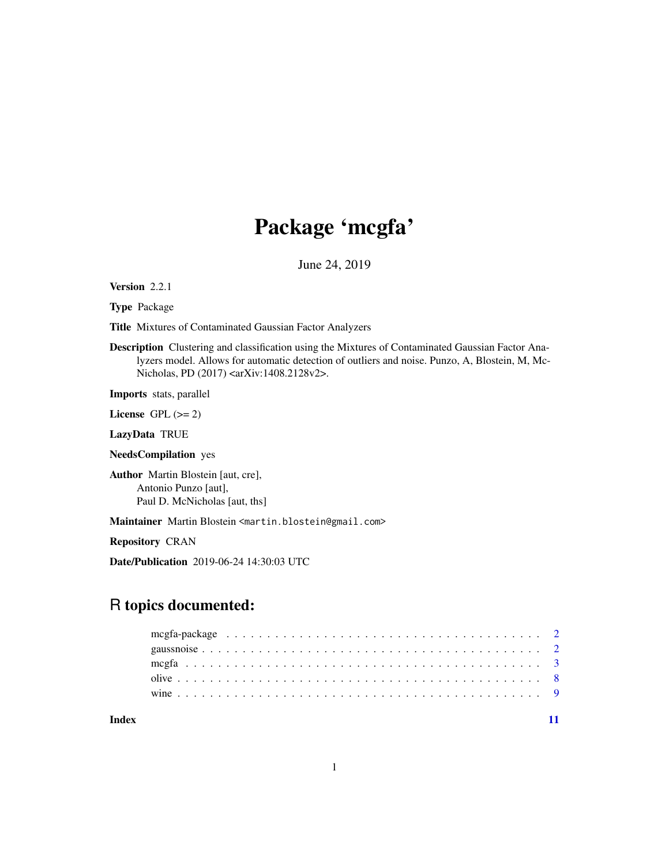## Package 'mcgfa'

June 24, 2019

Version 2.2.1

Type Package

Title Mixtures of Contaminated Gaussian Factor Analyzers

Description Clustering and classification using the Mixtures of Contaminated Gaussian Factor Analyzers model. Allows for automatic detection of outliers and noise. Punzo, A, Blostein, M, Mc-Nicholas, PD (2017) <arXiv:1408.2128v2>.

Imports stats, parallel

License GPL  $(>= 2)$ 

LazyData TRUE

NeedsCompilation yes

Author Martin Blostein [aut, cre], Antonio Punzo [aut], Paul D. McNicholas [aut, ths]

Maintainer Martin Blostein <martin.blostein@gmail.com>

Repository CRAN

Date/Publication 2019-06-24 14:30:03 UTC

### R topics documented:

**Index** [11](#page-10-0)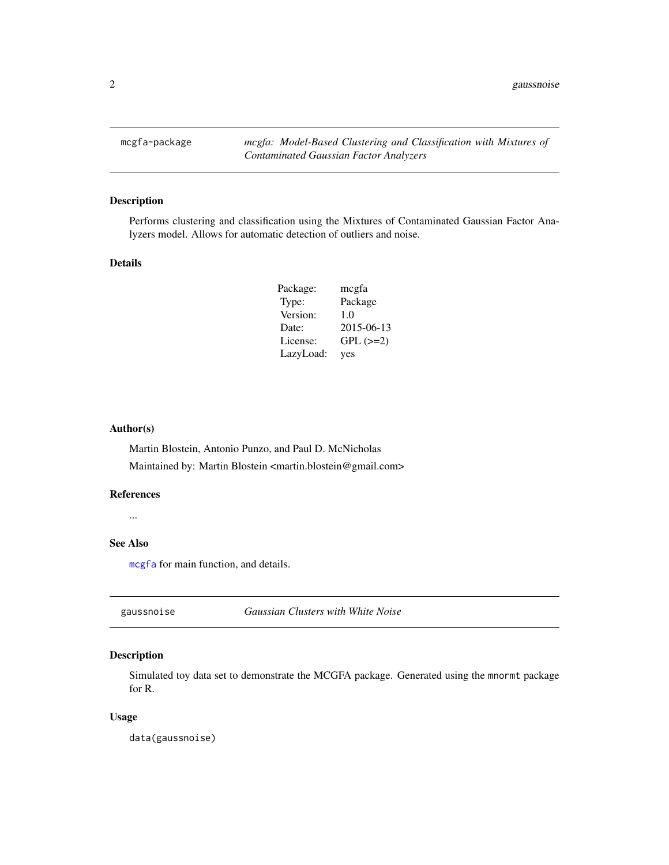<span id="page-1-0"></span>mcgfa-package *mcgfa: Model-Based Clustering and Classification with Mixtures of Contaminated Gaussian Factor Analyzers*

#### Description

Performs clustering and classification using the Mixtures of Contaminated Gaussian Factor Analyzers model. Allows for automatic detection of outliers and noise.

#### Details

| Package:  | megfa         |
|-----------|---------------|
| Type:     | Package       |
| Version:  | 1.0           |
| Date:     | 2015-06-13    |
| License:  | $GPL$ $(>=2)$ |
| LazyLoad: | yes           |

#### Author(s)

Martin Blostein, Antonio Punzo, and Paul D. McNicholas Maintained by: Martin Blostein <martin.blostein@gmail.com>

#### References

...

#### See Also

[mcgfa](#page-2-1) for main function, and details.

gaussnoise *Gaussian Clusters with White Noise*

#### Description

Simulated toy data set to demonstrate the MCGFA package. Generated using the mnormt package for R.

#### Usage

data(gaussnoise)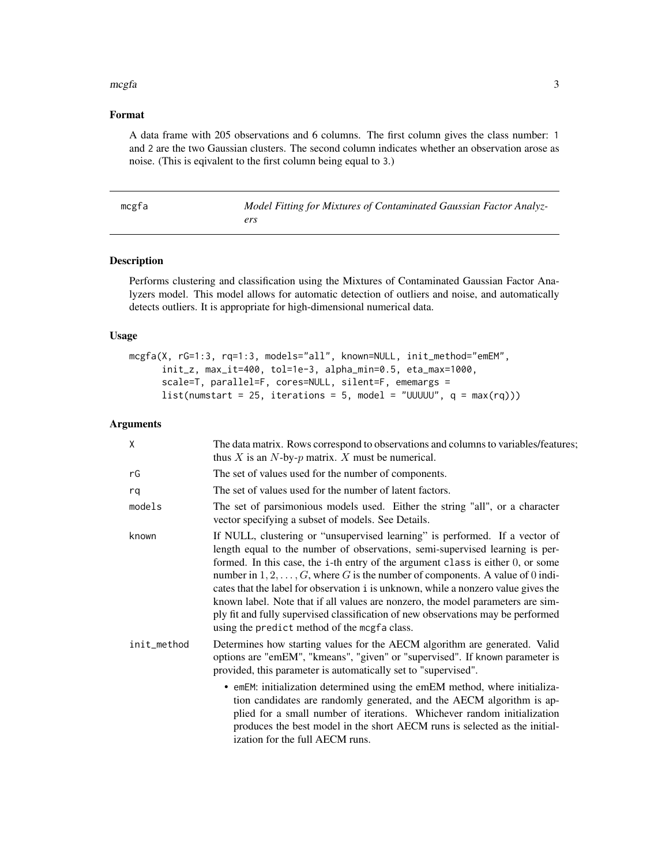#### <span id="page-2-0"></span>mcgfa 3

#### Format

A data frame with 205 observations and 6 columns. The first column gives the class number: 1 and 2 are the two Gaussian clusters. The second column indicates whether an observation arose as noise. (This is eqivalent to the first column being equal to 3.)

<span id="page-2-1"></span>

| mcgfa | Model Fitting for Mixtures of Contaminated Gaussian Factor Analyz- |
|-------|--------------------------------------------------------------------|
|       |                                                                    |

#### Description

Performs clustering and classification using the Mixtures of Contaminated Gaussian Factor Analyzers model. This model allows for automatic detection of outliers and noise, and automatically detects outliers. It is appropriate for high-dimensional numerical data.

#### Usage

```
mcgfa(X, rG=1:3, rq=1:3, models="all", known=NULL, init_method="emEM",
      init_z, max_it=400, tol=1e-3, alpha_min=0.5, eta_max=1000,
     scale=T, parallel=F, cores=NULL, silent=F, ememargs =
     list(numstart = 25, iterations = 5, model = "UUUUU", q = max(rq)))
```
#### Arguments

| Χ           | The data matrix. Rows correspond to observations and columns to variables/features;<br>thus X is an $N$ -by- $p$ matrix. X must be numerical.                                                                                                                                                                                                                                                                                                                                                                                                                                                                                                        |
|-------------|------------------------------------------------------------------------------------------------------------------------------------------------------------------------------------------------------------------------------------------------------------------------------------------------------------------------------------------------------------------------------------------------------------------------------------------------------------------------------------------------------------------------------------------------------------------------------------------------------------------------------------------------------|
| rG          | The set of values used for the number of components.                                                                                                                                                                                                                                                                                                                                                                                                                                                                                                                                                                                                 |
| rq          | The set of values used for the number of latent factors.                                                                                                                                                                                                                                                                                                                                                                                                                                                                                                                                                                                             |
| models      | The set of parsimonious models used. Either the string "all", or a character<br>vector specifying a subset of models. See Details.                                                                                                                                                                                                                                                                                                                                                                                                                                                                                                                   |
| known       | If NULL, clustering or "unsupervised learning" is performed. If a vector of<br>length equal to the number of observations, semi-supervised learning is per-<br>formed. In this case, the i-th entry of the argument class is either 0, or some<br>number in $1, 2, \ldots, G$ , where G is the number of components. A value of 0 indi-<br>cates that the label for observation i is unknown, while a nonzero value gives the<br>known label. Note that if all values are nonzero, the model parameters are sim-<br>ply fit and fully supervised classification of new observations may be performed<br>using the predict method of the mcgfa class. |
| init_method | Determines how starting values for the AECM algorithm are generated. Valid<br>options are "emEM", "kmeans", "given" or "supervised". If known parameter is<br>provided, this parameter is automatically set to "supervised".                                                                                                                                                                                                                                                                                                                                                                                                                         |
|             | • emEM: initialization determined using the emEM method, where initializa-<br>tion candidates are randomly generated, and the AECM algorithm is ap-<br>plied for a small number of iterations. Whichever random initialization<br>produces the best model in the short AECM runs is selected as the initial-<br>ization for the full AECM runs.                                                                                                                                                                                                                                                                                                      |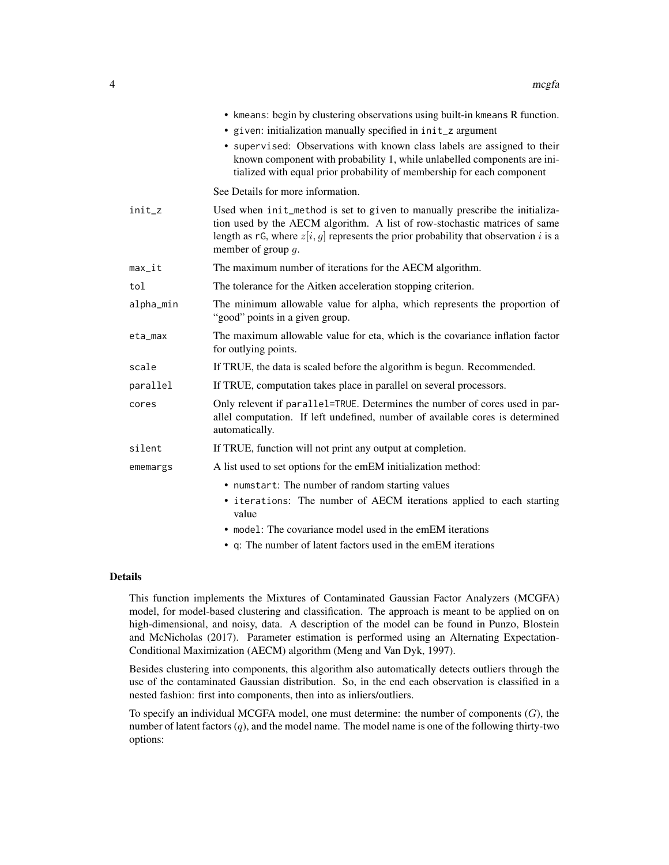|           | • kmeans: begin by clustering observations using built-in kmeans R function.                                                                                                                                                                                                 |
|-----------|------------------------------------------------------------------------------------------------------------------------------------------------------------------------------------------------------------------------------------------------------------------------------|
|           | • given: initialization manually specified in init_z argument                                                                                                                                                                                                                |
|           | • supervised: Observations with known class labels are assigned to their<br>known component with probability 1, while unlabelled components are ini-<br>tialized with equal prior probability of membership for each component                                               |
|           | See Details for more information.                                                                                                                                                                                                                                            |
| $init_z$  | Used when init_method is set to given to manually prescribe the initializa-<br>tion used by the AECM algorithm. A list of row-stochastic matrices of same<br>length as rG, where $z[i, g]$ represents the prior probability that observation i is a<br>member of group $q$ . |
| $max_it$  | The maximum number of iterations for the AECM algorithm.                                                                                                                                                                                                                     |
| tol       | The tolerance for the Aitken acceleration stopping criterion.                                                                                                                                                                                                                |
| alpha_min | The minimum allowable value for alpha, which represents the proportion of<br>"good" points in a given group.                                                                                                                                                                 |
| eta_max   | The maximum allowable value for eta, which is the covariance inflation factor<br>for outlying points.                                                                                                                                                                        |
| scale     | If TRUE, the data is scaled before the algorithm is begun. Recommended.                                                                                                                                                                                                      |
| parallel  | If TRUE, computation takes place in parallel on several processors.                                                                                                                                                                                                          |
| cores     | Only relevent if parallel=TRUE. Determines the number of cores used in par-<br>allel computation. If left undefined, number of available cores is determined<br>automatically.                                                                                               |
| silent    | If TRUE, function will not print any output at completion.                                                                                                                                                                                                                   |
| ememargs  | A list used to set options for the emEM initialization method:                                                                                                                                                                                                               |
|           | • numstart: The number of random starting values                                                                                                                                                                                                                             |
|           | • iterations: The number of AECM iterations applied to each starting<br>value                                                                                                                                                                                                |
|           | • mode1: The covariance model used in the emEM iterations                                                                                                                                                                                                                    |
|           | • q: The number of latent factors used in the emEM iterations                                                                                                                                                                                                                |

#### Details

This function implements the Mixtures of Contaminated Gaussian Factor Analyzers (MCGFA) model, for model-based clustering and classification. The approach is meant to be applied on on high-dimensional, and noisy, data. A description of the model can be found in Punzo, Blostein and McNicholas (2017). Parameter estimation is performed using an Alternating Expectation-Conditional Maximization (AECM) algorithm (Meng and Van Dyk, 1997).

Besides clustering into components, this algorithm also automatically detects outliers through the use of the contaminated Gaussian distribution. So, in the end each observation is classified in a nested fashion: first into components, then into as inliers/outliers.

To specify an individual MCGFA model, one must determine: the number of components  $(G)$ , the number of latent factors  $(q)$ , and the model name. The model name is one of the following thirty-two options: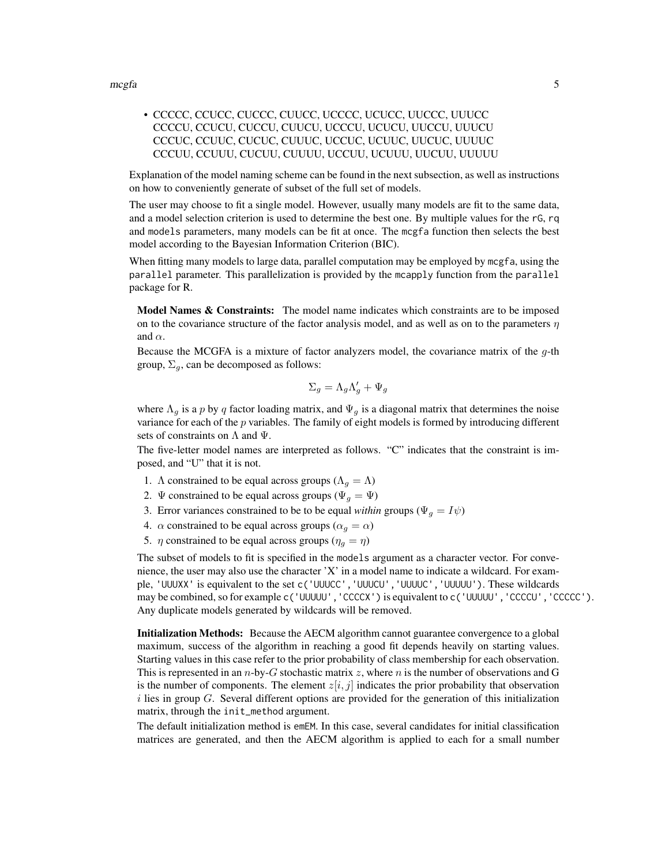• CCCCC, CCUCC, CUCCC, CUUCC, UCCCC, UCUCC, UUCCC, UUUCC CCCCU, CCUCU, CUCCU, CUUCU, UCCCU, UCUCU, UUCCU, UUUCU CCCUC, CCUUC, CUCUC, CUUUC, UCCUC, UCUUC, UUCUC, UUUUC CCCUU, CCUUU, CUCUU, CUUUU, UCCUU, UCUUU, UUCUU, UUUUU

Explanation of the model naming scheme can be found in the next subsection, as well as instructions on how to conveniently generate of subset of the full set of models.

The user may choose to fit a single model. However, usually many models are fit to the same data, and a model selection criterion is used to determine the best one. By multiple values for the rG, rq and models parameters, many models can be fit at once. The mcgfa function then selects the best model according to the Bayesian Information Criterion (BIC).

When fitting many models to large data, parallel computation may be employed by mcgfa, using the parallel parameter. This parallelization is provided by the mcapply function from the parallel package for R.

Model Names & Constraints: The model name indicates which constraints are to be imposed on to the covariance structure of the factor analysis model, and as well as on to the parameters  $\eta$ and  $\alpha$ .

Because the MCGFA is a mixture of factor analyzers model, the covariance matrix of the  $q$ -th group,  $\Sigma_q$ , can be decomposed as follows:

$$
\Sigma_g = \Lambda_g \Lambda'_g + \Psi_g
$$

where  $\Lambda_q$  is a p by q factor loading matrix, and  $\Psi_q$  is a diagonal matrix that determines the noise variance for each of the p variables. The family of eight models is formed by introducing different sets of constraints on  $\Lambda$  and  $\Psi$ .

The five-letter model names are interpreted as follows. "C" indicates that the constraint is imposed, and "U" that it is not.

- 1. Λ constrained to be equal across groups ( $\Lambda_g = \Lambda$ )
- 2.  $\Psi$  constrained to be equal across groups ( $\Psi_g = \Psi$ )
- 3. Error variances constrained to be to be equal *within* groups ( $\Psi_q = I\psi$ )
- 4.  $\alpha$  constrained to be equal across groups ( $\alpha_g = \alpha$ )
- 5.  $\eta$  constrained to be equal across groups ( $\eta_q = \eta$ )

The subset of models to fit is specified in the models argument as a character vector. For convenience, the user may also use the character 'X' in a model name to indicate a wildcard. For example, 'UUUXX' is equivalent to the set c('UUUCC','UUUCU','UUUUC','UUUUU'). These wildcards may be combined, so for example c('UUUUU','CCCCX') is equivalent to c('UUUUU','CCCCU','CCCCC'). Any duplicate models generated by wildcards will be removed.

Initialization Methods: Because the AECM algorithm cannot guarantee convergence to a global maximum, success of the algorithm in reaching a good fit depends heavily on starting values. Starting values in this case refer to the prior probability of class membership for each observation. This is represented in an n-by-G stochastic matrix  $z$ , where n is the number of observations and G is the number of components. The element  $z[i, j]$  indicates the prior probability that observation  $i$  lies in group  $G$ . Several different options are provided for the generation of this initialization matrix, through the init\_method argument.

The default initialization method is emEM. In this case, several candidates for initial classification matrices are generated, and then the AECM algorithm is applied to each for a small number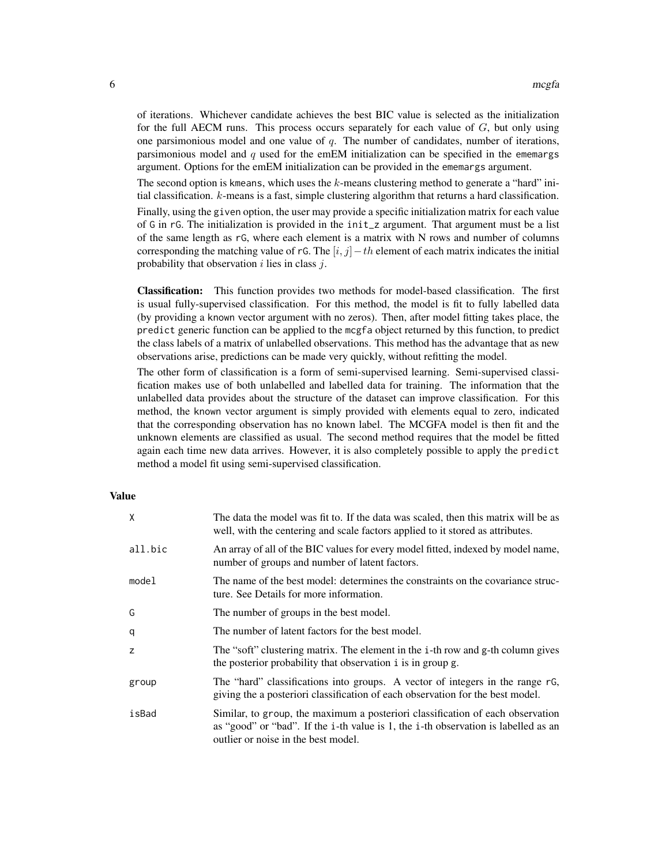of iterations. Whichever candidate achieves the best BIC value is selected as the initialization for the full AECM runs. This process occurs separately for each value of  $G$ , but only using one parsimonious model and one value of  $q$ . The number of candidates, number of iterations, parsimonious model and q used for the emEM initialization can be specified in the ememargs argument. Options for the emEM initialization can be provided in the ememargs argument.

The second option is kmeans, which uses the k-means clustering method to generate a "hard" initial classification. k-means is a fast, simple clustering algorithm that returns a hard classification.

Finally, using the given option, the user may provide a specific initialization matrix for each value of G in rG. The initialization is provided in the init\_z argument. That argument must be a list of the same length as rG, where each element is a matrix with N rows and number of columns corresponding the matching value of rG. The  $[i, j] - th$  element of each matrix indicates the initial probability that observation  $i$  lies in class  $j$ .

Classification: This function provides two methods for model-based classification. The first is usual fully-supervised classification. For this method, the model is fit to fully labelled data (by providing a known vector argument with no zeros). Then, after model fitting takes place, the predict generic function can be applied to the mcgfa object returned by this function, to predict the class labels of a matrix of unlabelled observations. This method has the advantage that as new observations arise, predictions can be made very quickly, without refitting the model.

The other form of classification is a form of semi-supervised learning. Semi-supervised classification makes use of both unlabelled and labelled data for training. The information that the unlabelled data provides about the structure of the dataset can improve classification. For this method, the known vector argument is simply provided with elements equal to zero, indicated that the corresponding observation has no known label. The MCGFA model is then fit and the unknown elements are classified as usual. The second method requires that the model be fitted again each time new data arrives. However, it is also completely possible to apply the predict method a model fit using semi-supervised classification.

#### Value

| X       | The data the model was fit to. If the data was scaled, then this matrix will be as<br>well, with the centering and scale factors applied to it stored as attributes.                                        |
|---------|-------------------------------------------------------------------------------------------------------------------------------------------------------------------------------------------------------------|
| all.bic | An array of all of the BIC values for every model fitted, indexed by model name,<br>number of groups and number of latent factors.                                                                          |
| model   | The name of the best model: determines the constraints on the covariance struc-<br>ture. See Details for more information.                                                                                  |
| G       | The number of groups in the best model.                                                                                                                                                                     |
| q       | The number of latent factors for the best model.                                                                                                                                                            |
| z       | The "soft" clustering matrix. The element in the i-th row and g-th column gives<br>the posterior probability that observation i is in group g.                                                              |
| group   | The "hard" classifications into groups. A vector of integers in the range rG,<br>giving the a posteriori classification of each observation for the best model.                                             |
| isBad   | Similar, to group, the maximum a posteriori classification of each observation<br>as "good" or "bad". If the i-th value is 1, the i-th observation is labelled as an<br>outlier or noise in the best model. |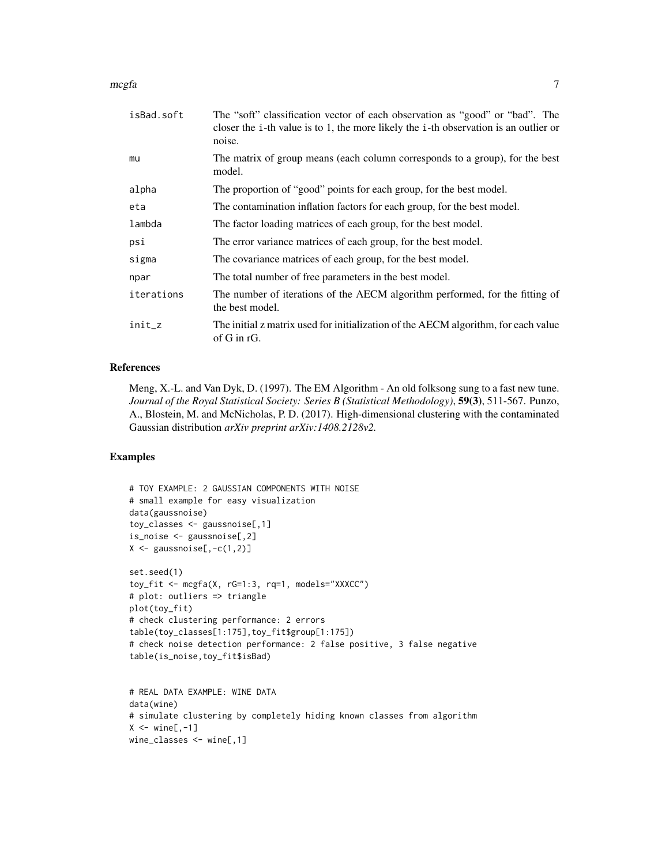mcgfa **7** 

| isBad.soft | The "soft" classification vector of each observation as "good" or "bad". The<br>closer the i-th value is to 1, the more likely the i-th observation is an outlier or<br>noise. |
|------------|--------------------------------------------------------------------------------------------------------------------------------------------------------------------------------|
| mu         | The matrix of group means (each column corresponds to a group), for the best<br>model.                                                                                         |
| alpha      | The proportion of "good" points for each group, for the best model.                                                                                                            |
| eta        | The contamination inflation factors for each group, for the best model.                                                                                                        |
| lambda     | The factor loading matrices of each group, for the best model.                                                                                                                 |
| psi        | The error variance matrices of each group, for the best model.                                                                                                                 |
| sigma      | The covariance matrices of each group, for the best model.                                                                                                                     |
| npar       | The total number of free parameters in the best model.                                                                                                                         |
| iterations | The number of iterations of the AECM algorithm performed, for the fitting of<br>the best model.                                                                                |
| init_z     | The initial z matrix used for initialization of the AECM algorithm, for each value<br>of G in rG.                                                                              |

#### References

Meng, X.-L. and Van Dyk, D. (1997). The EM Algorithm - An old folksong sung to a fast new tune. *Journal of the Royal Statistical Society: Series B (Statistical Methodology)*, 59(3), 511-567. Punzo, A., Blostein, M. and McNicholas, P. D. (2017). High-dimensional clustering with the contaminated Gaussian distribution *arXiv preprint arXiv:1408.2128v2.*

#### Examples

```
# TOY EXAMPLE: 2 GAUSSIAN COMPONENTS WITH NOISE
# small example for easy visualization
data(gaussnoise)
toy_classes <- gaussnoise[,1]
is_noise <- gaussnoise[,2]
X \leftarrow gaussnoise[,-c(1,2)]
set.seed(1)
toy_fit <- mcgfa(X, rG=1:3, rq=1, models="XXXCC")
# plot: outliers => triangle
plot(toy_fit)
# check clustering performance: 2 errors
table(toy_classes[1:175],toy_fit$group[1:175])
# check noise detection performance: 2 false positive, 3 false negative
table(is_noise,toy_fit$isBad)
# REAL DATA EXAMPLE: WINE DATA
data(wine)
```

```
# simulate clustering by completely hiding known classes from algorithm
X \leftarrow \text{wine}[, -1]wine_classes <- wine[,1]
```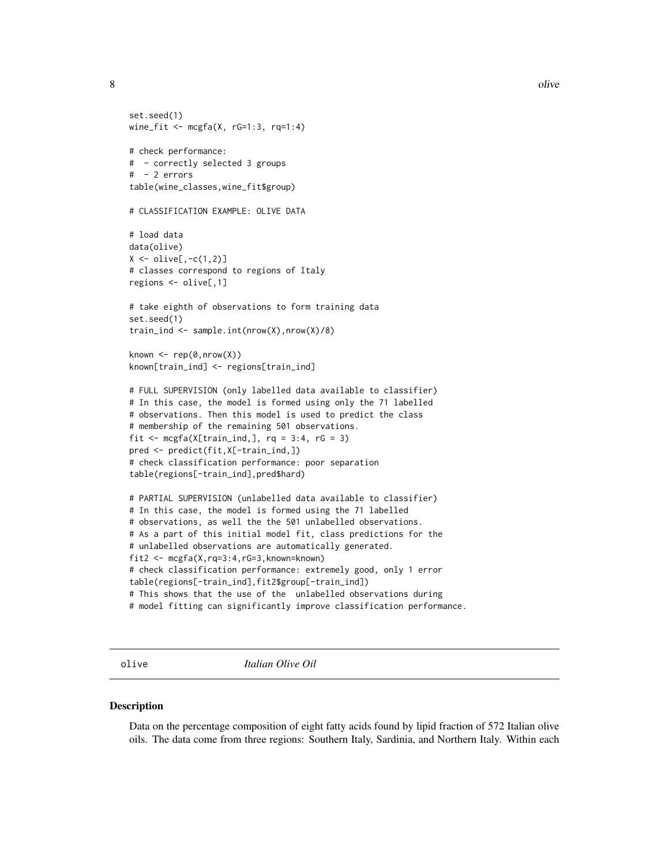8 olive the state of the state of the state of the state of the state of the state of the state of the state of the state of the state of the state of the state of the state of the state of the state of the state of the st

```
set.seed(1)
wine_fit <- mcgfa(X, rG=1:3, rq=1:4)
# check performance:
# - correctly selected 3 groups
# - 2 errors
table(wine_classes,wine_fit$group)
# CLASSIFICATION EXAMPLE: OLIVE DATA
# load data
data(olive)
X \leftarrow olive[,-c(1,2)]
# classes correspond to regions of Italy
regions <- olive[,1]
# take eighth of observations to form training data
set.seed(1)
train_ind <- sample.int(nrow(X),nrow(X)/8)
known \leq rep(0,nrow(X))
known[train_ind] <- regions[train_ind]
# FULL SUPERVISION (only labelled data available to classifier)
# In this case, the model is formed using only the 71 labelled
# observations. Then this model is used to predict the class
# membership of the remaining 501 observations.
fit \leq mcgfa(X[train_ind,], rq = 3:4, rG = 3)
pred <- predict(fit,X[-train_ind,])
# check classification performance: poor separation
table(regions[-train_ind],pred$hard)
# PARTIAL SUPERVISION (unlabelled data available to classifier)
# In this case, the model is formed using the 71 labelled
# observations, as well the the 501 unlabelled observations.
# As a part of this initial model fit, class predictions for the
# unlabelled observations are automatically generated.
fit2 <- mcgfa(X,rq=3:4,rG=3,known=known)
# check classification performance: extremely good, only 1 error
table(regions[-train_ind],fit2$group[-train_ind])
# This shows that the use of the unlabelled observations during
# model fitting can significantly improve classification performance.
```
olive *Italian Olive Oil*

#### Description

Data on the percentage composition of eight fatty acids found by lipid fraction of 572 Italian olive oils. The data come from three regions: Southern Italy, Sardinia, and Northern Italy. Within each

<span id="page-7-0"></span>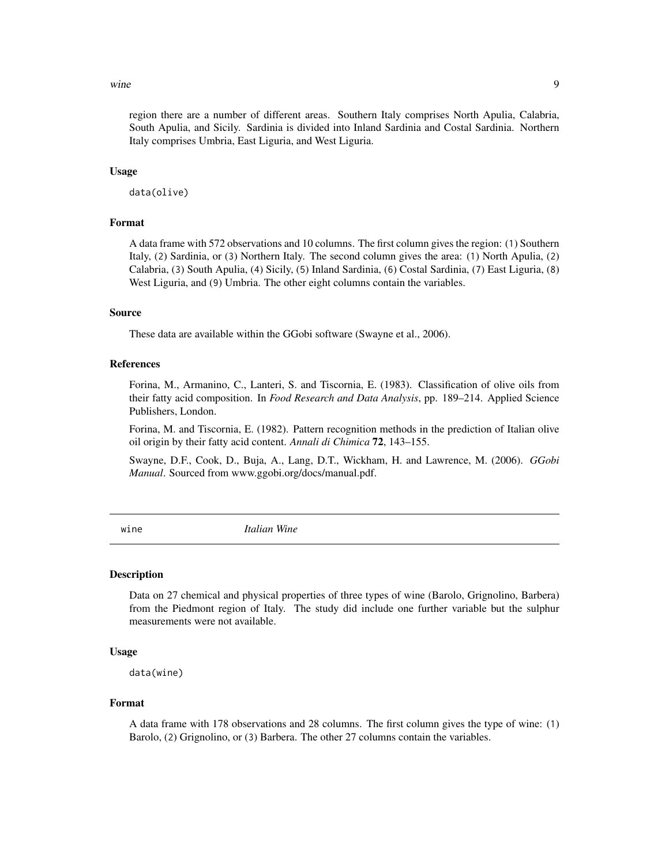#### <span id="page-8-0"></span>wine 9

region there are a number of different areas. Southern Italy comprises North Apulia, Calabria, South Apulia, and Sicily. Sardinia is divided into Inland Sardinia and Costal Sardinia. Northern Italy comprises Umbria, East Liguria, and West Liguria.

#### Usage

data(olive)

#### Format

A data frame with 572 observations and 10 columns. The first column gives the region: (1) Southern Italy, (2) Sardinia, or (3) Northern Italy. The second column gives the area: (1) North Apulia, (2) Calabria, (3) South Apulia, (4) Sicily, (5) Inland Sardinia, (6) Costal Sardinia, (7) East Liguria, (8) West Liguria, and (9) Umbria. The other eight columns contain the variables.

#### Source

These data are available within the GGobi software (Swayne et al., 2006).

#### References

Forina, M., Armanino, C., Lanteri, S. and Tiscornia, E. (1983). Classification of olive oils from their fatty acid composition. In *Food Research and Data Analysis*, pp. 189–214. Applied Science Publishers, London.

Forina, M. and Tiscornia, E. (1982). Pattern recognition methods in the prediction of Italian olive oil origin by their fatty acid content. *Annali di Chimica* 72, 143–155.

Swayne, D.F., Cook, D., Buja, A., Lang, D.T., Wickham, H. and Lawrence, M. (2006). *GGobi Manual*. Sourced from www.ggobi.org/docs/manual.pdf.

wine *Italian Wine*

#### Description

Data on 27 chemical and physical properties of three types of wine (Barolo, Grignolino, Barbera) from the Piedmont region of Italy. The study did include one further variable but the sulphur measurements were not available.

#### Usage

data(wine)

#### Format

A data frame with 178 observations and 28 columns. The first column gives the type of wine: (1) Barolo, (2) Grignolino, or (3) Barbera. The other 27 columns contain the variables.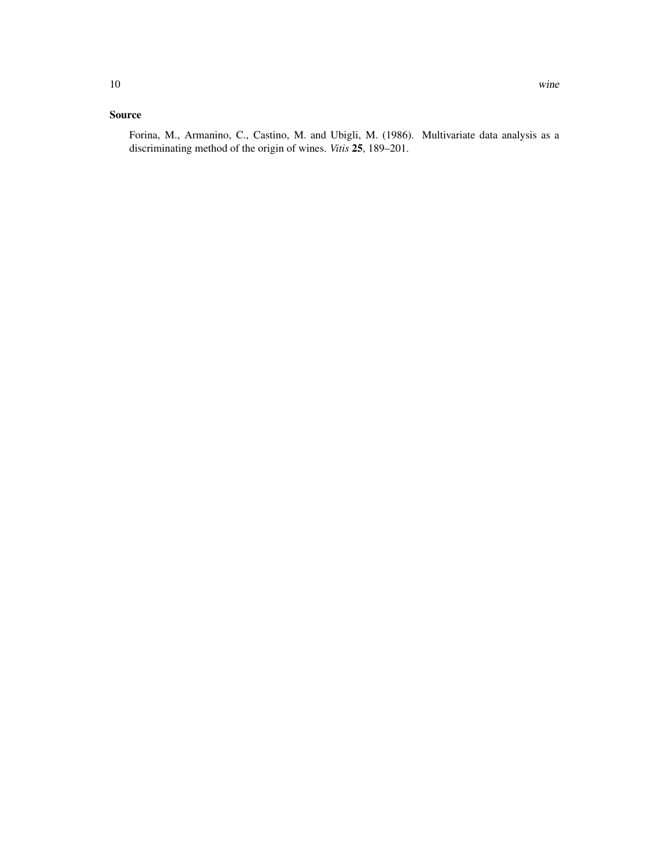#### Source